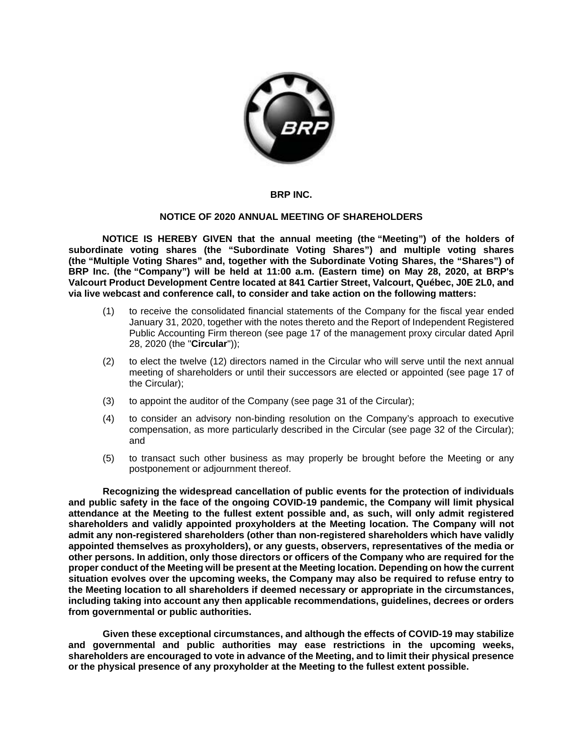

## **BRP INC.**

## **NOTICE OF 2020 ANNUAL MEETING OF SHAREHOLDERS**

**NOTICE IS HEREBY GIVEN that the annual meeting (the "Meeting") of the holders of subordinate voting shares (the "Subordinate Voting Shares") and multiple voting shares (the "Multiple Voting Shares" and, together with the Subordinate Voting Shares, the "Shares") of BRP Inc. (the "Company") will be held at 11:00 a.m. (Eastern time) on May 28, 2020, at BRP's Valcourt Product Development Centre located at 841 Cartier Street, Valcourt, Québec, J0E 2L0, and via live webcast and conference call, to consider and take action on the following matters:** 

- (1) to receive the consolidated financial statements of the Company for the fiscal year ended January 31, 2020, together with the notes thereto and the Report of Independent Registered Public Accounting Firm thereon (see page 17 of the management proxy circular dated April 28, 2020 (the "**Circular**"));
- (2) to elect the twelve (12) directors named in the Circular who will serve until the next annual meeting of shareholders or until their successors are elected or appointed (see page 17 of the Circular);
- (3) to appoint the auditor of the Company (see page 31 of the Circular);
- (4) to consider an advisory non-binding resolution on the Company's approach to executive compensation, as more particularly described in the Circular (see page 32 of the Circular); and
- (5) to transact such other business as may properly be brought before the Meeting or any postponement or adjournment thereof.

**Recognizing the widespread cancellation of public events for the protection of individuals and public safety in the face of the ongoing COVID-19 pandemic, the Company will limit physical attendance at the Meeting to the fullest extent possible and, as such, will only admit registered shareholders and validly appointed proxyholders at the Meeting location. The Company will not admit any non-registered shareholders (other than non-registered shareholders which have validly appointed themselves as proxyholders), or any guests, observers, representatives of the media or other persons. In addition, only those directors or officers of the Company who are required for the proper conduct of the Meeting will be present at the Meeting location. Depending on how the current situation evolves over the upcoming weeks, the Company may also be required to refuse entry to the Meeting location to all shareholders if deemed necessary or appropriate in the circumstances, including taking into account any then applicable recommendations, guidelines, decrees or orders from governmental or public authorities.**

**Given these exceptional circumstances, and although the effects of COVID-19 may stabilize and governmental and public authorities may ease restrictions in the upcoming weeks, shareholders are encouraged to vote in advance of the Meeting, and to limit their physical presence or the physical presence of any proxyholder at the Meeting to the fullest extent possible.**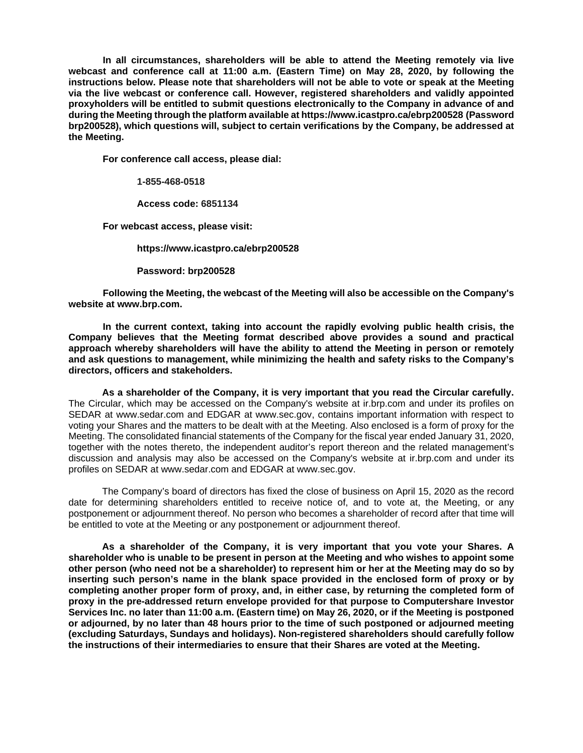**In all circumstances, shareholders will be able to attend the Meeting remotely via live webcast and conference call at 11:00 a.m. (Eastern Time) on May 28, 2020, by following the instructions below. Please note that shareholders will not be able to vote or speak at the Meeting via the live webcast or conference call. However, registered shareholders and validly appointed proxyholders will be entitled to submit questions electronically to the Company in advance of and during the Meeting through the platform available at <https://www.icastpro.ca/ebrp200528> (Password brp200528), which questions will, subject to certain verifications by the Company, be addressed at the Meeting.**

**For conference call access, please dial:**

**1-855-468-0518**

**Access code: 6851134**

**For webcast access, please visit:**

**<https://www.icastpro.ca/ebrp200528>**

**Password: brp200528**

**Following the Meeting, the webcast of the Meeting will also be accessible on the Company's website at www.brp.com.**

**In the current context, taking into account the rapidly evolving public health crisis, the Company believes that the Meeting format described above provides a sound and practical approach whereby shareholders will have the ability to attend the Meeting in person or remotely and ask questions to management, while minimizing the health and safety risks to the Company's directors, officers and stakeholders.**

**As a shareholder of the Company, it is very important that you read the Circular carefully.**  The Circular, which may be accessed on the Company's website at ir.brp.com and under its profiles on SEDAR at www.sedar.com and EDGAR at www.sec.gov, contains important information with respect to voting your Shares and the matters to be dealt with at the Meeting. Also enclosed is a form of proxy for the Meeting. The consolidated financial statements of the Company for the fiscal year ended January 31, 2020, together with the notes thereto, the independent auditor's report thereon and the related management's discussion and analysis may also be accessed on the Company's website at ir.brp.com and under its profiles on SEDAR at www.sedar.com and EDGAR at www.sec.gov.

The Company's board of directors has fixed the close of business on April 15, 2020 as the record date for determining shareholders entitled to receive notice of, and to vote at, the Meeting, or any postponement or adjournment thereof. No person who becomes a shareholder of record after that time will be entitled to vote at the Meeting or any postponement or adjournment thereof.

**As a shareholder of the Company, it is very important that you vote your Shares. A shareholder who is unable to be present in person at the Meeting and who wishes to appoint some other person (who need not be a shareholder) to represent him or her at the Meeting may do so by inserting such person's name in the blank space provided in the enclosed form of proxy or by completing another proper form of proxy, and, in either case, by returning the completed form of proxy in the pre-addressed return envelope provided for that purpose to Computershare Investor Services Inc. no later than 11:00 a.m. (Eastern time) on May 26, 2020, or if the Meeting is postponed or adjourned, by no later than 48 hours prior to the time of such postponed or adjourned meeting (excluding Saturdays, Sundays and holidays). Non-registered shareholders should carefully follow the instructions of their intermediaries to ensure that their Shares are voted at the Meeting.**